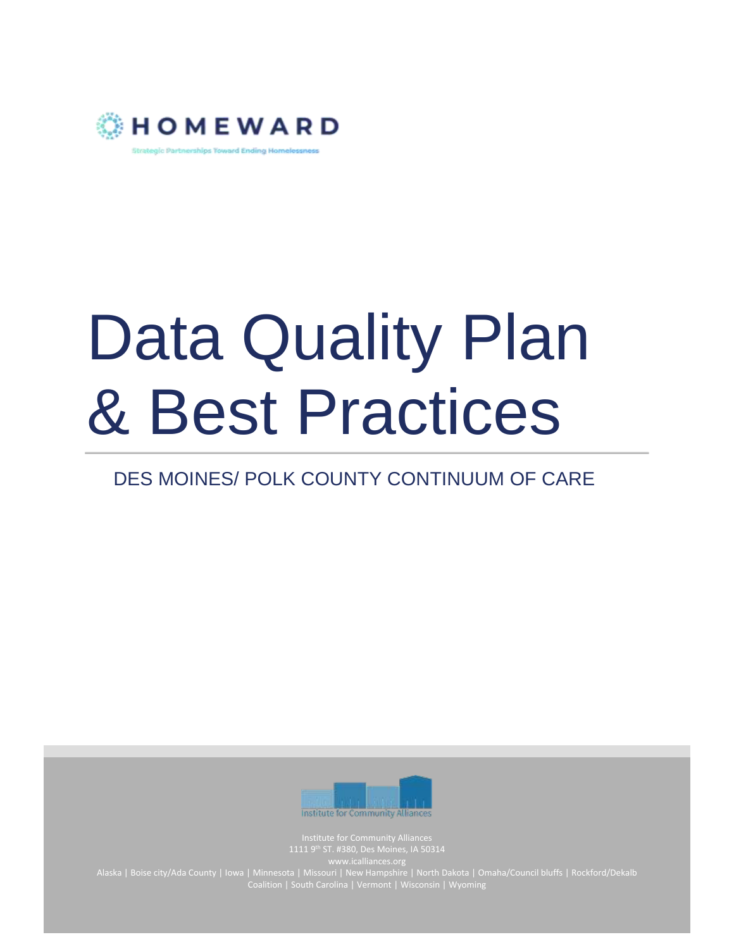

# Data Quality Plan & Best Practices

# DES MOINES/ POLK COUNTY CONTINUUM OF CARE



www.icalliances.org Coalition | South Carolina | Vermont | Wisconsin | Wyoming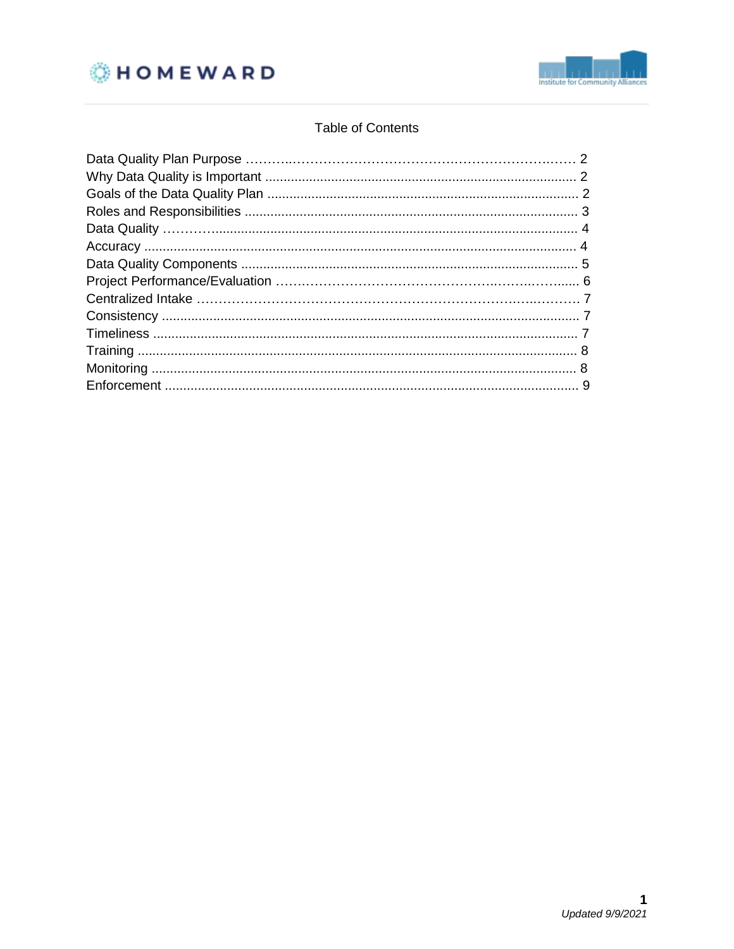



## **Table of Contents**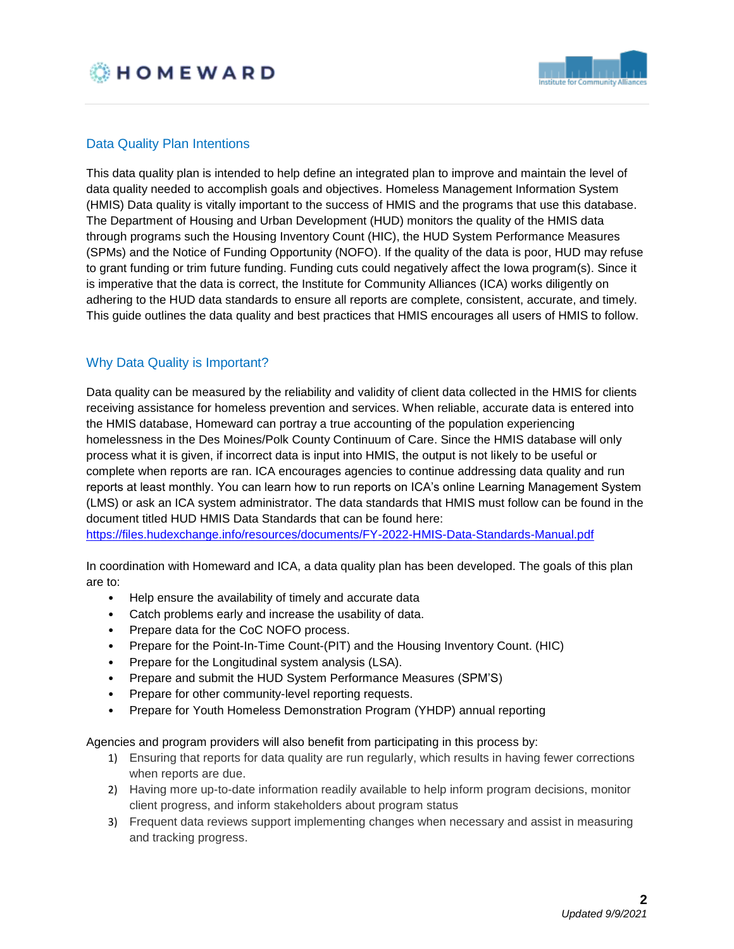



#### Data Quality Plan Intentions

This data quality plan is intended to help define an integrated plan to improve and maintain the level of data quality needed to accomplish goals and objectives. Homeless Management Information System (HMIS) Data quality is vitally important to the success of HMIS and the programs that use this database. The Department of Housing and Urban Development (HUD) monitors the quality of the HMIS data through programs such the Housing Inventory Count (HIC), the HUD System Performance Measures (SPMs) and the Notice of Funding Opportunity (NOFO). If the quality of the data is poor, HUD may refuse to grant funding or trim future funding. Funding cuts could negatively affect the Iowa program(s). Since it is imperative that the data is correct, the Institute for Community Alliances (ICA) works diligently on adhering to the HUD data standards to ensure all reports are complete, consistent, accurate, and timely. This guide outlines the data quality and best practices that HMIS encourages all users of HMIS to follow.

#### Why Data Quality is Important?

Data quality can be measured by the reliability and validity of client data collected in the HMIS for clients receiving assistance for homeless prevention and services. When reliable, accurate data is entered into the HMIS database, Homeward can portray a true accounting of the population experiencing homelessness in the Des Moines/Polk County Continuum of Care. Since the HMIS database will only process what it is given, if incorrect data is input into HMIS, the output is not likely to be useful or complete when reports are ran. ICA encourages agencies to continue addressing data quality and run reports at least monthly. You can learn how to run reports on ICA's online Learning Management System (LMS) or ask an ICA system administrator. The data standards that HMIS must follow can be found in the document titled HUD HMIS Data Standards that can be found here:

<https://files.hudexchange.info/resources/documents/FY-2022-HMIS-Data-Standards-Manual.pdf>

In coordination with Homeward and ICA, a data quality plan has been developed. The goals of this plan are to:

- Help ensure the availability of timely and accurate data
- Catch problems early and increase the usability of data.
- Prepare data for the CoC NOFO process.
- Prepare for the Point-In-Time Count-(PIT) and the Housing Inventory Count. (HIC)
- Prepare for the Longitudinal system analysis (LSA).
- Prepare and submit the HUD System Performance Measures (SPM'S)
- Prepare for other community-level reporting requests.
- Prepare for Youth Homeless Demonstration Program (YHDP) annual reporting

Agencies and program providers will also benefit from participating in this process by:

- 1) Ensuring that reports for data quality are run regularly, which results in having fewer corrections when reports are due.
- 2) Having more up-to-date information readily available to help inform program decisions, monitor client progress, and inform stakeholders about program status
- 3) Frequent data reviews support implementing changes when necessary and assist in measuring and tracking progress.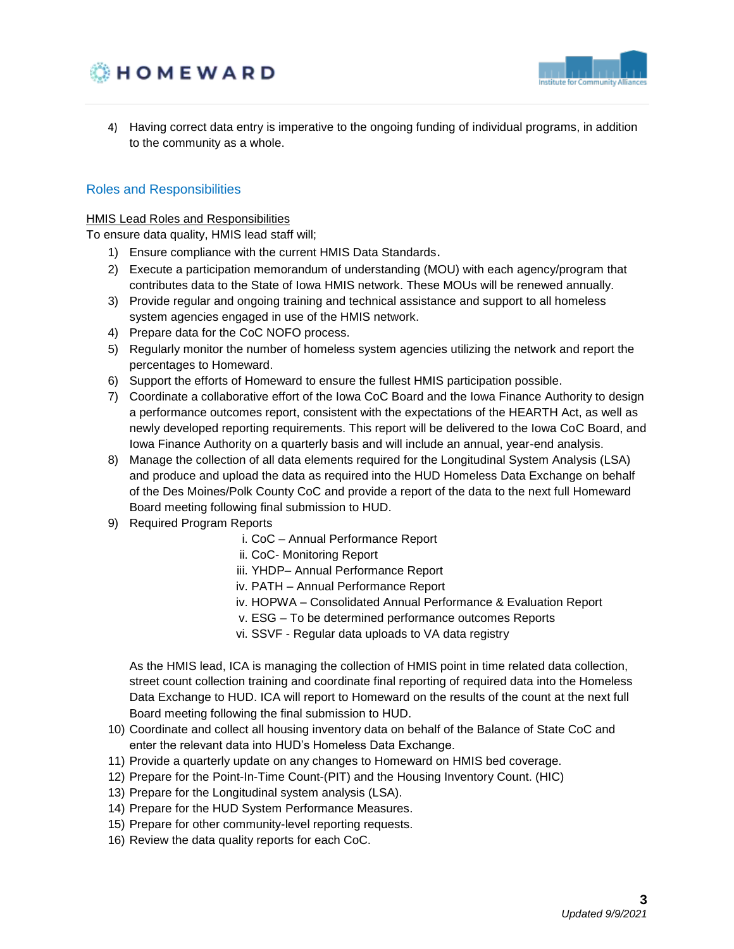



4) Having correct data entry is imperative to the ongoing funding of individual programs, in addition to the community as a whole.

#### Roles and Responsibilities

#### HMIS Lead Roles and Responsibilities

To ensure data quality, HMIS lead staff will;

- 1) Ensure compliance with the current HMIS Data Standards.
- 2) Execute a participation memorandum of understanding (MOU) with each agency/program that contributes data to the State of Iowa HMIS network. These MOUs will be renewed annually.
- 3) Provide regular and ongoing training and technical assistance and support to all homeless system agencies engaged in use of the HMIS network.
- 4) Prepare data for the CoC NOFO process.
- 5) Regularly monitor the number of homeless system agencies utilizing the network and report the percentages to Homeward.
- 6) Support the efforts of Homeward to ensure the fullest HMIS participation possible.
- 7) Coordinate a collaborative effort of the Iowa CoC Board and the Iowa Finance Authority to design a performance outcomes report, consistent with the expectations of the HEARTH Act, as well as newly developed reporting requirements. This report will be delivered to the Iowa CoC Board, and Iowa Finance Authority on a quarterly basis and will include an annual, year-end analysis.
- 8) Manage the collection of all data elements required for the Longitudinal System Analysis (LSA) and produce and upload the data as required into the HUD Homeless Data Exchange on behalf of the Des Moines/Polk County CoC and provide a report of the data to the next full Homeward Board meeting following final submission to HUD.
- 9) Required Program Reports
	- i. CoC Annual Performance Report
	- ii. CoC- Monitoring Report
	- iii. YHDP– Annual Performance Report
	- iv. PATH Annual Performance Report
	- iv. HOPWA Consolidated Annual Performance & Evaluation Report
	- v. ESG To be determined performance outcomes Reports
	- vi. SSVF Regular data uploads to VA data registry

As the HMIS lead, ICA is managing the collection of HMIS point in time related data collection, street count collection training and coordinate final reporting of required data into the Homeless Data Exchange to HUD. ICA will report to Homeward on the results of the count at the next full Board meeting following the final submission to HUD.

- 10) Coordinate and collect all housing inventory data on behalf of the Balance of State CoC and enter the relevant data into HUD's Homeless Data Exchange.
- 11) Provide a quarterly update on any changes to Homeward on HMIS bed coverage.
- 12) Prepare for the Point-In-Time Count-(PIT) and the Housing Inventory Count. (HIC)
- 13) Prepare for the Longitudinal system analysis (LSA).
- 14) Prepare for the HUD System Performance Measures.
- 15) Prepare for other community-level reporting requests.
- 16) Review the data quality reports for each CoC.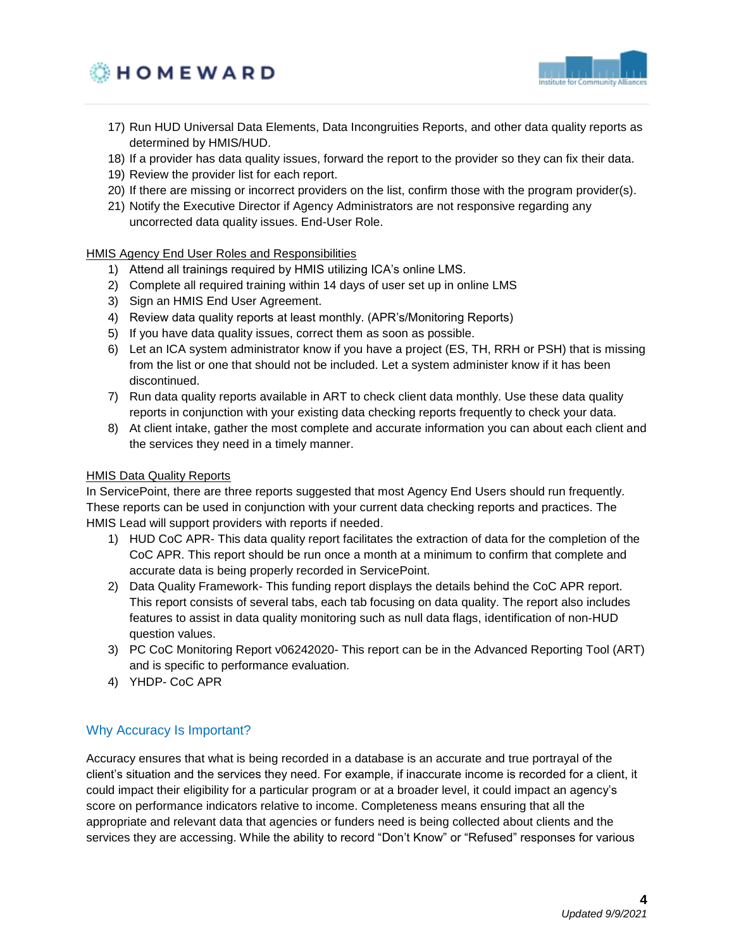



- 17) Run HUD Universal Data Elements, Data Incongruities Reports, and other data quality reports as determined by HMIS/HUD.
- 18) If a provider has data quality issues, forward the report to the provider so they can fix their data.
- 19) Review the provider list for each report.
- 20) If there are missing or incorrect providers on the list, confirm those with the program provider(s).
- 21) Notify the Executive Director if Agency Administrators are not responsive regarding any uncorrected data quality issues. End-User Role.

HMIS Agency End User Roles and Responsibilities

- 1) Attend all trainings required by HMIS utilizing ICA's online LMS.
- 2) Complete all required training within 14 days of user set up in online LMS
- 3) Sign an HMIS End User Agreement.
- 4) Review data quality reports at least monthly. (APR's/Monitoring Reports)
- 5) If you have data quality issues, correct them as soon as possible.
- 6) Let an ICA system administrator know if you have a project (ES, TH, RRH or PSH) that is missing from the list or one that should not be included. Let a system administer know if it has been discontinued.
- 7) Run data quality reports available in ART to check client data monthly. Use these data quality reports in conjunction with your existing data checking reports frequently to check your data.
- 8) At client intake, gather the most complete and accurate information you can about each client and the services they need in a timely manner.

#### HMIS Data Quality Reports

In ServicePoint, there are three reports suggested that most Agency End Users should run frequently. These reports can be used in conjunction with your current data checking reports and practices. The HMIS Lead will support providers with reports if needed.

- 1) HUD CoC APR- This data quality report facilitates the extraction of data for the completion of the CoC APR. This report should be run once a month at a minimum to confirm that complete and accurate data is being properly recorded in ServicePoint.
- 2) Data Quality Framework- This funding report displays the details behind the CoC APR report. This report consists of several tabs, each tab focusing on data quality. The report also includes features to assist in data quality monitoring such as null data flags, identification of non-HUD question values.
- 3) PC CoC Monitoring Report v06242020- This report can be in the Advanced Reporting Tool (ART) and is specific to performance evaluation.
- 4) YHDP- CoC APR

#### Why Accuracy Is Important?

Accuracy ensures that what is being recorded in a database is an accurate and true portrayal of the client's situation and the services they need. For example, if inaccurate income is recorded for a client, it could impact their eligibility for a particular program or at a broader level, it could impact an agency's score on performance indicators relative to income. Completeness means ensuring that all the appropriate and relevant data that agencies or funders need is being collected about clients and the services they are accessing. While the ability to record "Don't Know" or "Refused" responses for various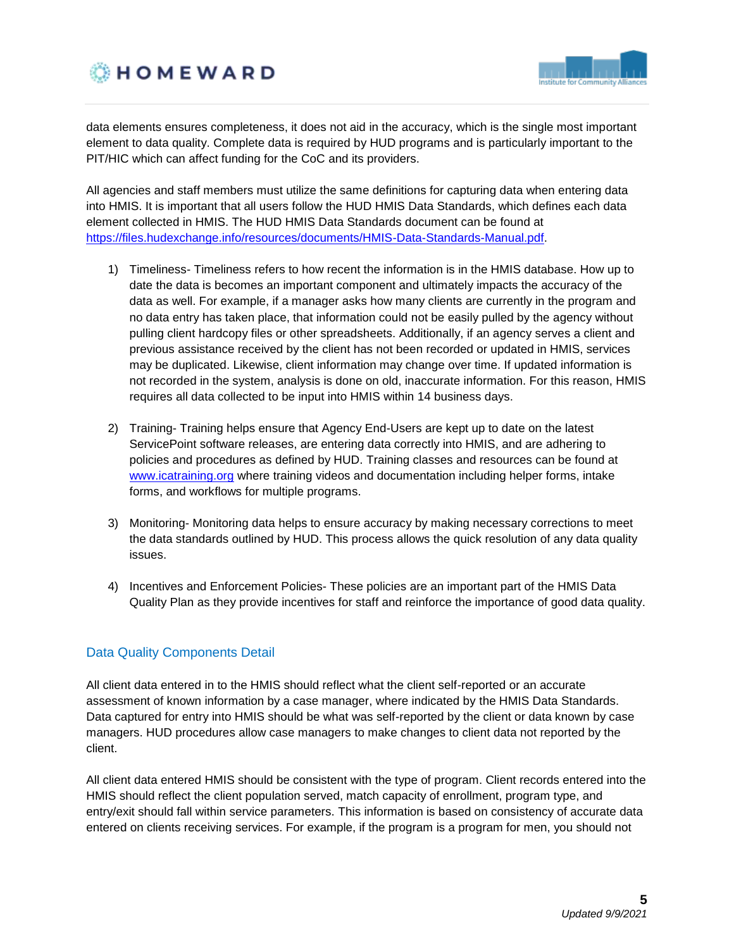



data elements ensures completeness, it does not aid in the accuracy, which is the single most important element to data quality. Complete data is required by HUD programs and is particularly important to the PIT/HIC which can affect funding for the CoC and its providers.

All agencies and staff members must utilize the same definitions for capturing data when entering data into HMIS. It is important that all users follow the HUD HMIS Data Standards, which defines each data element collected in HMIS. The HUD HMIS Data Standards document can be found at [https://files.hudexchange.info/resources/documents/HMIS-Data-Standards-Manual.pdf.](https://files.hudexchange.info/resources/documents/HMIS-Data-Standards-Manual.pdf)

- 1) Timeliness- Timeliness refers to how recent the information is in the HMIS database. How up to date the data is becomes an important component and ultimately impacts the accuracy of the data as well. For example, if a manager asks how many clients are currently in the program and no data entry has taken place, that information could not be easily pulled by the agency without pulling client hardcopy files or other spreadsheets. Additionally, if an agency serves a client and previous assistance received by the client has not been recorded or updated in HMIS, services may be duplicated. Likewise, client information may change over time. If updated information is not recorded in the system, analysis is done on old, inaccurate information. For this reason, HMIS requires all data collected to be input into HMIS within 14 business days.
- 2) Training- Training helps ensure that Agency End-Users are kept up to date on the latest ServicePoint software releases, are entering data correctly into HMIS, and are adhering to policies and procedures as defined by HUD. Training classes and resources can be found at [www.icatraining.org](http://www.icatraining.org/) where training videos and documentation including helper forms, intake forms, and workflows for multiple programs.
- 3) Monitoring- Monitoring data helps to ensure accuracy by making necessary corrections to meet the data standards outlined by HUD. This process allows the quick resolution of any data quality issues.
- 4) Incentives and Enforcement Policies- These policies are an important part of the HMIS Data Quality Plan as they provide incentives for staff and reinforce the importance of good data quality.

### Data Quality Components Detail

All client data entered in to the HMIS should reflect what the client self-reported or an accurate assessment of known information by a case manager, where indicated by the HMIS Data Standards. Data captured for entry into HMIS should be what was self-reported by the client or data known by case managers. HUD procedures allow case managers to make changes to client data not reported by the client.

All client data entered HMIS should be consistent with the type of program. Client records entered into the HMIS should reflect the client population served, match capacity of enrollment, program type, and entry/exit should fall within service parameters. This information is based on consistency of accurate data entered on clients receiving services. For example, if the program is a program for men, you should not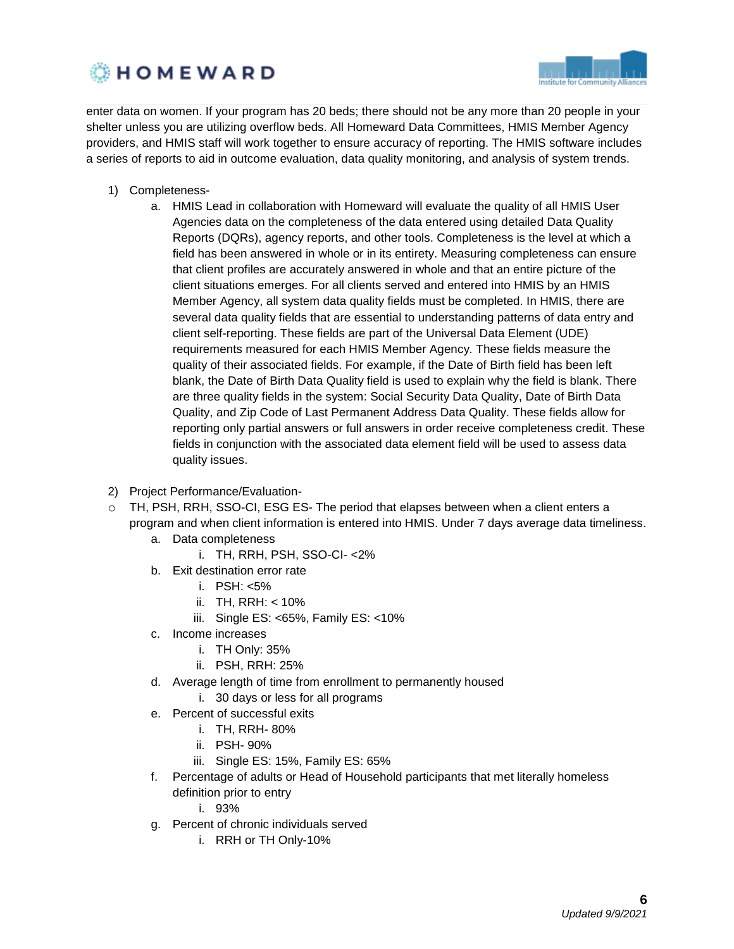



enter data on women. If your program has 20 beds; there should not be any more than 20 people in your shelter unless you are utilizing overflow beds. All Homeward Data Committees, HMIS Member Agency providers, and HMIS staff will work together to ensure accuracy of reporting. The HMIS software includes a series of reports to aid in outcome evaluation, data quality monitoring, and analysis of system trends.

- 1) Completeness
	- a. HMIS Lead in collaboration with Homeward will evaluate the quality of all HMIS User Agencies data on the completeness of the data entered using detailed Data Quality Reports (DQRs), agency reports, and other tools. Completeness is the level at which a field has been answered in whole or in its entirety. Measuring completeness can ensure that client profiles are accurately answered in whole and that an entire picture of the client situations emerges. For all clients served and entered into HMIS by an HMIS Member Agency, all system data quality fields must be completed. In HMIS, there are several data quality fields that are essential to understanding patterns of data entry and client self-reporting. These fields are part of the Universal Data Element (UDE) requirements measured for each HMIS Member Agency. These fields measure the quality of their associated fields. For example, if the Date of Birth field has been left blank, the Date of Birth Data Quality field is used to explain why the field is blank. There are three quality fields in the system: Social Security Data Quality, Date of Birth Data Quality, and Zip Code of Last Permanent Address Data Quality. These fields allow for reporting only partial answers or full answers in order receive completeness credit. These fields in conjunction with the associated data element field will be used to assess data quality issues.
- 2) Project Performance/Evaluation-
- o TH, PSH, RRH, SSO-CI, ESG ES- The period that elapses between when a client enters a program and when client information is entered into HMIS. Under 7 days average data timeliness.
	- a. Data completeness
		- i. TH, RRH, PSH, SSO-CI- <2%
	- b. Exit destination error rate
		- i. PSH: <5%
		- ii. TH, RRH: < 10%
		- iii. Single ES: <65%, Family ES: <10%
	- c. Income increases
		- i. TH Only: 35%
		- ii. PSH, RRH: 25%
	- d. Average length of time from enrollment to permanently housed
		- i. 30 days or less for all programs
	- e. Percent of successful exits
		- i. TH, RRH- 80%
		- ii. PSH- 90%
		- iii. Single ES: 15%, Family ES: 65%
	- f. Percentage of adults or Head of Household participants that met literally homeless definition prior to entry
		- i. 93%
	- g. Percent of chronic individuals served
		- i. RRH or TH Only-10%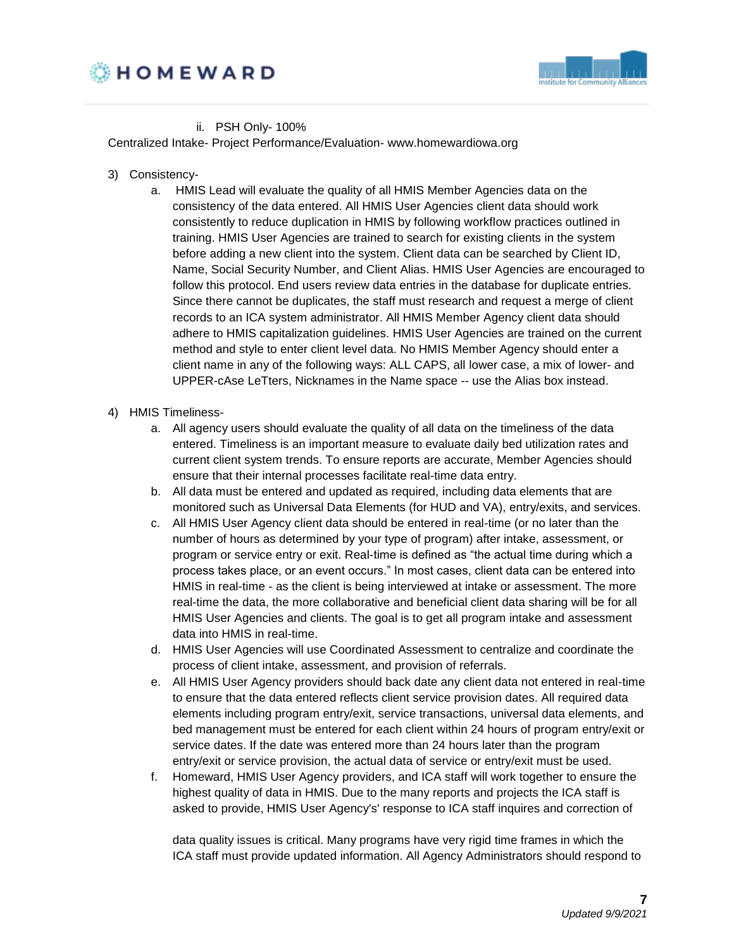



ii. PSH Only- 100%

Centralized Intake- Project Performance/Evaluation- www.homewardiowa.org

- 3) Consistency
	- a. HMIS Lead will evaluate the quality of all HMIS Member Agencies data on the consistency of the data entered. All HMIS User Agencies client data should work consistently to reduce duplication in HMIS by following workflow practices outlined in training. HMIS User Agencies are trained to search for existing clients in the system before adding a new client into the system. Client data can be searched by Client ID, Name, Social Security Number, and Client Alias. HMIS User Agencies are encouraged to follow this protocol. End users review data entries in the database for duplicate entries. Since there cannot be duplicates, the staff must research and request a merge of client records to an ICA system administrator. All HMIS Member Agency client data should adhere to HMIS capitalization guidelines. HMIS User Agencies are trained on the current method and style to enter client level data. No HMIS Member Agency should enter a client name in any of the following ways: ALL CAPS, all lower case, a mix of lower- and UPPER-cAse LeTters, Nicknames in the Name space -- use the Alias box instead.
- 4) HMIS Timeliness
	- a. All agency users should evaluate the quality of all data on the timeliness of the data entered. Timeliness is an important measure to evaluate daily bed utilization rates and current client system trends. To ensure reports are accurate, Member Agencies should ensure that their internal processes facilitate real-time data entry.
	- b. All data must be entered and updated as required, including data elements that are monitored such as Universal Data Elements (for HUD and VA), entry/exits, and services.
	- c. All HMIS User Agency client data should be entered in real-time (or no later than the number of hours as determined by your type of program) after intake, assessment, or program or service entry or exit. Real-time is defined as "the actual time during which a process takes place, or an event occurs." In most cases, client data can be entered into HMIS in real-time - as the client is being interviewed at intake or assessment. The more real-time the data, the more collaborative and beneficial client data sharing will be for all HMIS User Agencies and clients. The goal is to get all program intake and assessment data into HMIS in real-time.
	- d. HMIS User Agencies will use Coordinated Assessment to centralize and coordinate the process of client intake, assessment, and provision of referrals.
	- e. All HMIS User Agency providers should back date any client data not entered in real-time to ensure that the data entered reflects client service provision dates. All required data elements including program entry/exit, service transactions, universal data elements, and bed management must be entered for each client within 24 hours of program entry/exit or service dates. If the date was entered more than 24 hours later than the program entry/exit or service provision, the actual data of service or entry/exit must be used.
	- f. Homeward, HMIS User Agency providers, and ICA staff will work together to ensure the highest quality of data in HMIS. Due to the many reports and projects the ICA staff is asked to provide, HMIS User Agency's' response to ICA staff inquires and correction of

data quality issues is critical. Many programs have very rigid time frames in which the ICA staff must provide updated information. All Agency Administrators should respond to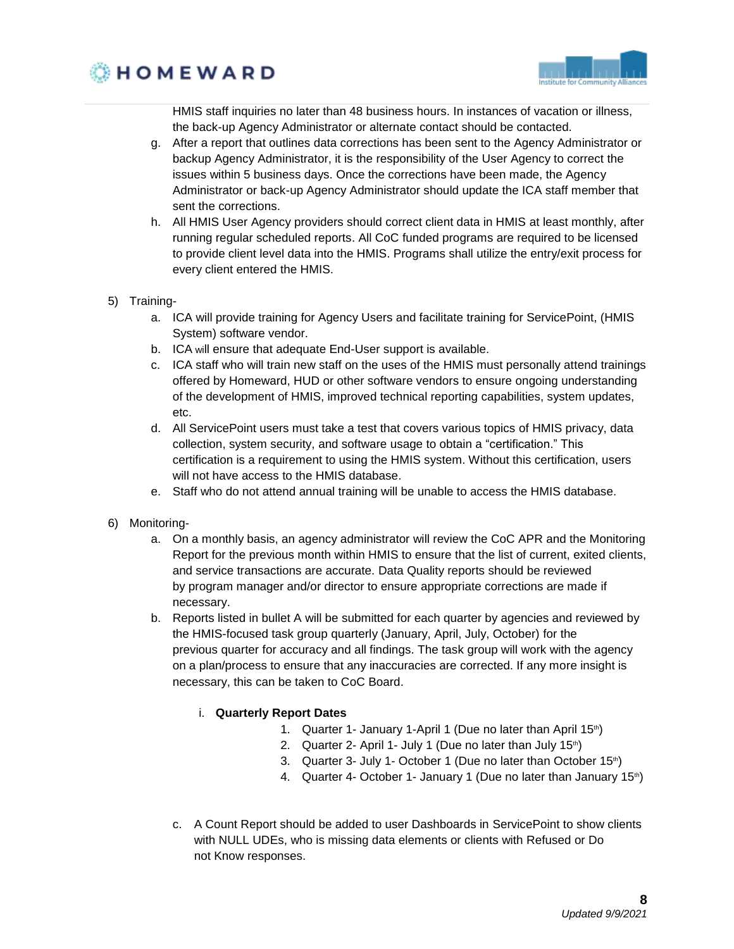



HMIS staff inquiries no later than 48 business hours. In instances of vacation or illness, the back-up Agency Administrator or alternate contact should be contacted.

- g. After a report that outlines data corrections has been sent to the Agency Administrator or backup Agency Administrator, it is the responsibility of the User Agency to correct the issues within 5 business days. Once the corrections have been made, the Agency Administrator or back-up Agency Administrator should update the ICA staff member that sent the corrections.
- h. All HMIS User Agency providers should correct client data in HMIS at least monthly, after running regular scheduled reports. All CoC funded programs are required to be licensed to provide client level data into the HMIS. Programs shall utilize the entry/exit process for every client entered the HMIS.
- 5) Training
	- a. ICA will provide training for Agency Users and facilitate training for ServicePoint, (HMIS System) software vendor.
	- b. ICA will ensure that adequate End-User support is available.
	- c. ICA staff who will train new staff on the uses of the HMIS must personally attend trainings offered by Homeward, HUD or other software vendors to ensure ongoing understanding of the development of HMIS, improved technical reporting capabilities, system updates, etc.
	- d. All ServicePoint users must take a test that covers various topics of HMIS privacy, data collection, system security, and software usage to obtain a "certification." This certification is a requirement to using the HMIS system. Without this certification, users will not have access to the HMIS database.
	- e. Staff who do not attend annual training will be unable to access the HMIS database.
- 6) Monitoring
	- a. On a monthly basis, an agency administrator will review the CoC APR and the Monitoring Report for the previous month within HMIS to ensure that the list of current, exited clients, and service transactions are accurate. Data Quality reports should be reviewed by program manager and/or director to ensure appropriate corrections are made if necessary.
	- b. Reports listed in bullet A will be submitted for each quarter by agencies and reviewed by the HMIS-focused task group quarterly (January, April, July, October) for the previous quarter for accuracy and all findings. The task group will work with the agency on a plan/process to ensure that any inaccuracies are corrected. If any more insight is necessary, this can be taken to CoC Board.
		- i. **Quarterly Report Dates**
			- 1. Quarter 1- January 1-April 1 (Due no later than April  $15<sup>th</sup>$ )
			- 2. Quarter 2- April 1- July 1 (Due no later than July  $15<sup>th</sup>$ )
			- 3. Quarter 3- July 1- October 1 (Due no later than October 15<sup>th</sup>)
			- 4. Quarter 4- October 1- January 1 (Due no later than January  $15<sup>th</sup>$ )
		- c. A Count Report should be added to user Dashboards in ServicePoint to show clients with NULL UDEs, who is missing data elements or clients with Refused or Do not Know responses.